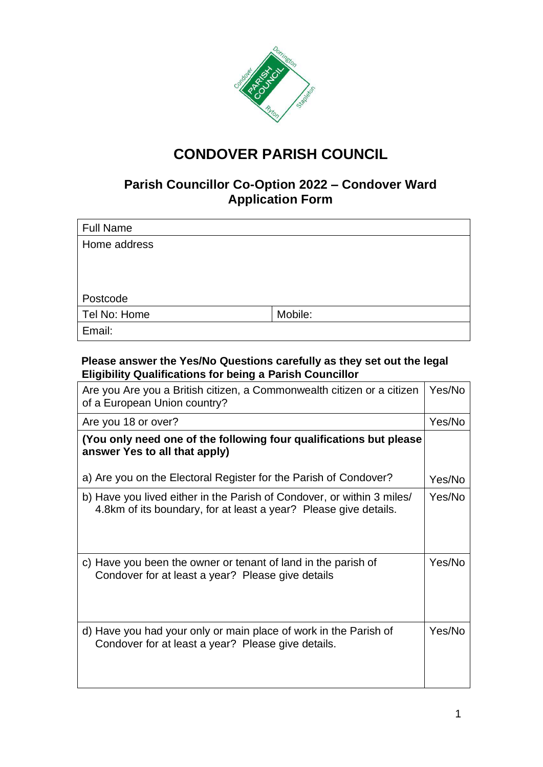

# **CONDOVER PARISH COUNCIL**

### **Parish Councillor Co-Option 2022 – Condover Ward Application Form**

| <b>Full Name</b> |         |
|------------------|---------|
| Home address     |         |
|                  |         |
|                  |         |
|                  |         |
| Postcode         |         |
| Tel No: Home     | Mobile: |
| Email:           |         |

### **Please answer the Yes/No Questions carefully as they set out the legal Eligibility Qualifications for being a Parish Councillor**

| Are you Are you a British citizen, a Commonwealth citizen or a citizen<br>of a European Union country?                                     |        |
|--------------------------------------------------------------------------------------------------------------------------------------------|--------|
| Are you 18 or over?                                                                                                                        | Yes/No |
| (You only need one of the following four qualifications but please<br>answer Yes to all that apply)                                        |        |
| a) Are you on the Electoral Register for the Parish of Condover?                                                                           | Yes/No |
| b) Have you lived either in the Parish of Condover, or within 3 miles/<br>4.8km of its boundary, for at least a year? Please give details. | Yes/No |
| c) Have you been the owner or tenant of land in the parish of<br>Condover for at least a year? Please give details                         | Yes/No |
| d) Have you had your only or main place of work in the Parish of<br>Condover for at least a year? Please give details.                     | Yes/No |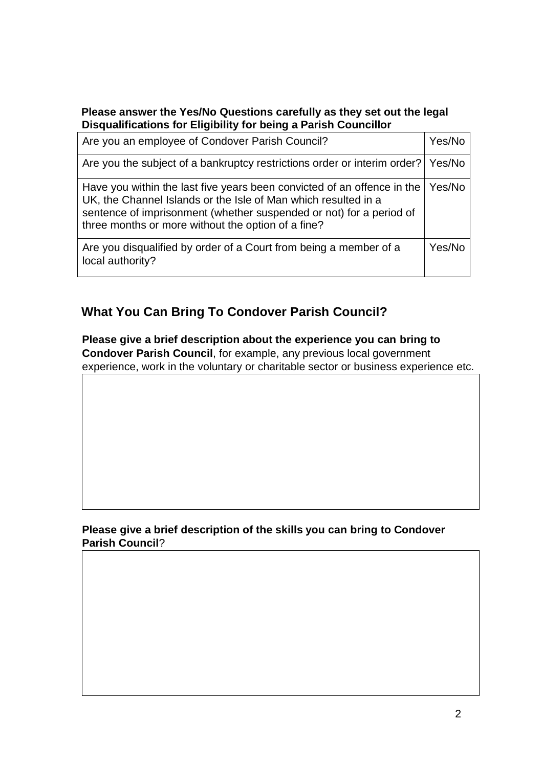### **Please answer the Yes/No Questions carefully as they set out the legal Disqualifications for Eligibility for being a Parish Councillor**

| Are you an employee of Condover Parish Council?                                                                                                                                                                                                                        |        |
|------------------------------------------------------------------------------------------------------------------------------------------------------------------------------------------------------------------------------------------------------------------------|--------|
| Are you the subject of a bankruptcy restrictions order or interim order?   Yes/No                                                                                                                                                                                      |        |
| Have you within the last five years been convicted of an offence in the<br>UK, the Channel Islands or the Isle of Man which resulted in a<br>sentence of imprisonment (whether suspended or not) for a period of<br>three months or more without the option of a fine? | Yes/No |
| Are you disqualified by order of a Court from being a member of a<br>local authority?                                                                                                                                                                                  | Yes/No |

## **What You Can Bring To Condover Parish Council?**

**Please give a brief description about the experience you can bring to Condover Parish Council**, for example, any previous local government experience, work in the voluntary or charitable sector or business experience etc.

### **Please give a brief description of the skills you can bring to Condover Parish Council**?